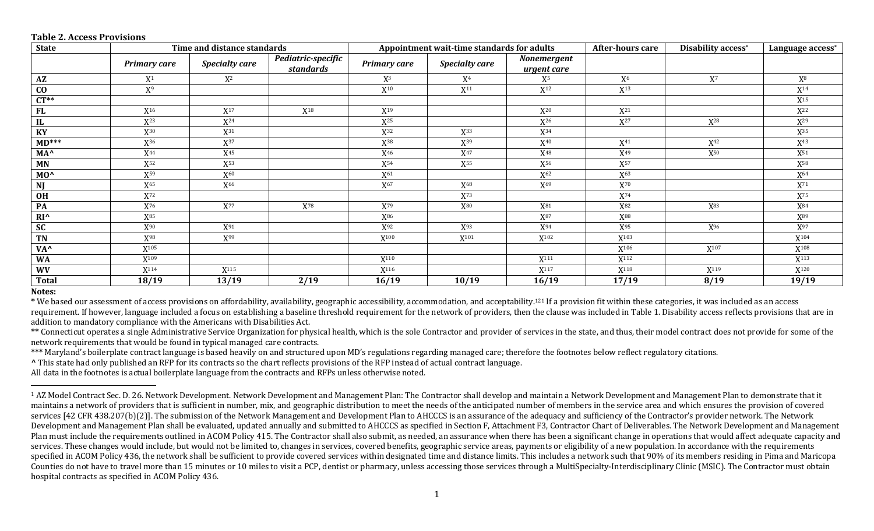| <b>State</b>           | Time and distance standards |                       |                                 | Appointment wait-time standards for adults |                            |                            | After-hours care  | Disability access* | Language access* |
|------------------------|-----------------------------|-----------------------|---------------------------------|--------------------------------------------|----------------------------|----------------------------|-------------------|--------------------|------------------|
|                        | <b>Primary care</b>         | <b>Specialty care</b> | Pediatric-specific<br>standards | <b>Primary care</b>                        | <b>Specialty care</b>      | Nonemergent<br>urgent care |                   |                    |                  |
| A Z                    | $X^1$                       | $X^2$                 |                                 | X <sup>3</sup>                             | X <sup>4</sup>             | X <sup>5</sup>             | X <sub>6</sub>    | $X^7$              | $X^8$            |
| $\mathbf{C}\mathbf{O}$ | $X^9$                       |                       |                                 | $\mathbf{X}^{10}$                          | $\mathbf{X}^{11}$          | $X^{12}$                   | $X^{13}$          |                    | $X^{14}$         |
| $CT**$                 |                             |                       |                                 |                                            |                            |                            |                   |                    | $X^{15}$         |
| <b>FL</b>              | $X^{16}$                    | $\mathrm{X}^{17}$     | $X^{18}$                        | $X^{19}$                                   |                            | $X^{20}$                   | $X^{21}$          |                    | $X^{22}$         |
| IL                     | $X^{23}$                    | $X^{24}$              |                                 | $X^{25}$                                   |                            | $X^{26}$                   | $X^{27}$          | $X^{28}$           | $X^{29}$         |
| KY                     | X30                         | X <sup>31</sup>       |                                 | X <sup>32</sup>                            | X33                        | $X^{34}$                   |                   |                    | X <sup>35</sup>  |
| $MD***$                | X <sup>36</sup>             | $\mathbf{X}^{37}$     |                                 | $X^{38}$                                   | $X^{39}$                   | $X^{40}$                   | $X^{41}$          | $X^{42}$           | $X^{43}$         |
| MA <sup>^</sup>        | $X^{44}$                    | $X^{45}$              |                                 | $X^{46}$                                   | $X^{47}$                   | $X^{48}$                   | $X^{49}$          | $X^{50}$           | $X^{51}$         |
| <b>MN</b>              | X <sup>52</sup>             | X <sup>53</sup>       |                                 | $X^{54}$                                   | X <sup>55</sup>            | X <sup>56</sup>            | X <sup>57</sup>   |                    | X <sup>58</sup>  |
| MO <sup>^</sup>        | $X^{59}$                    | $X^{60}$              |                                 | $X^{61}$                                   |                            | $X^{62}$                   | $X^{63}$          |                    | $X^{64}$         |
| <b>NJ</b>              | $X^{65}$                    | X <sup>66</sup>       |                                 | $\mathrm{X}^{67}$                          | $X^{68}$                   | $X^{69}$                   | $\mathbf{X}^{70}$ |                    | $X^{71}$         |
| <b>OH</b>              | X72                         |                       |                                 |                                            | X73                        |                            | $X^{74}$          |                    | X75              |
| PA                     | $X^{76}$                    | $\mathbf{X}^{77}$     | $X^{78}$                        | $X^{79}$                                   | $\mathbf{X}^{\mathbf{80}}$ | $\mathbf{X}^{81}$          | $X^{82}$          | X83                | $X^{84}$         |
| $RI^{\wedge}$          | $X^{85}$                    |                       |                                 | $\mathrm{X}^{86}$                          |                            | $X^{87}$                   | X88               |                    | $X^{89}$         |
| <b>SC</b>              | $X^{90}$                    | $X^{91}$              |                                 | $X^{92}$                                   | X <sup>93</sup>            | $X^{94}$                   | X <sup>95</sup>   | $X^{96}$           | $X^{97}$         |
| <b>TN</b>              | X98                         | X <sup>99</sup>       |                                 | X <sup>100</sup>                           | $X^{101}$                  | X102                       | X <sup>103</sup>  |                    | X <sup>104</sup> |
| VA <sup>^</sup>        | $X^{105}$                   |                       |                                 |                                            |                            |                            | $X^{106}$         | $X^{107}$          | $X^{108}$        |
| <b>WA</b>              | X <sup>109</sup>            |                       |                                 | X <sup>110</sup>                           |                            | $X^{111}$                  | X <sup>112</sup>  |                    | $X^{113}$        |
| <b>WV</b>              | X <sup>114</sup>            | X <sup>115</sup>      |                                 | $X^{116}$                                  |                            | X <sup>117</sup>           | X <sup>118</sup>  | X <sup>119</sup>   | $X^{120}$        |
| <b>Total</b>           | 18/19                       | 13/19                 | 2/19                            | 16/19                                      | 10/19                      | 16/19                      | 17/19             | 8/19               | 19/19            |

## **Table 2. Access Provisions**

## **Notes:**

 

**\*** We based our assessment of access provisions on affordability, availability, geographic accessibility, accommodation, and acceptability.<sup>121</sup> If a provision fit within these categories, it was included as an access requirement. If however, language included a focus on establishing a baseline threshold requirement for the network of providers, then the clause was included in Table 1. Disability access reflects provisions that are in addition to mandatory compliance with the Americans with Disabilities Act.

\*\* Connecticut operates a single Administrative Service Organization for physical health, which is the sole Contractor and provider of services in the state, and thus, their model contract does not provide for some of the network requirements that would be found in typical managed care contracts.

\*\*\* Maryland's boilerplate contract language is based heavily on and structured upon MD's regulations regarding managed care; therefore the footnotes below reflect regulatory citations.

**^** This state had only published an RFP for its contracts so the chart reflects provisions of the RFP instead of actual contract language.

All data in the footnotes is actual boilerplate language from the contracts and RFPs unless otherwise noted.

<sup>&</sup>lt;sup>1</sup> AZ Model Contract Sec. D. 26. Network Development. Network Development and Management Plan: The Contractor shall develop and maintain a Network Development and Management Plan to demonstrate that it maintains a network of providers that is sufficient in number, mix, and geographic distribution to meet the needs of the anticipated number of members in the service area and which ensures the provision of covered services [42 CFR 438.207(b)(2)]. The submission of the Network Management and Development Plan to AHCCCS is an assurance of the adequacy and sufficiency of the Contractor's provider network. The Network Development and Management Plan shall be evaluated, updated annually and submitted to AHCCCS as specified in Section F, Attachment F3, Contractor Chart of Deliverables. The Network Development and Management Plan must include the requirements outlined in ACOM Policy 415. The Contractor shall also submit, as needed, an assurance when there has been a significant change in operations that would affect adequate capacity and services. These changes would include, but would not be limited to, changes in services, covered benefits, geographic service areas, payments or eligibility of a new population. In accordance with the requirements specified in ACOM Policy 436, the network shall be sufficient to provide covered services within designated time and distance limits. This includes a network such that 90% of its members residing in Pima and Maricopa Counties do not have to travel more than 15 minutes or 10 miles to visit a PCP, dentist or pharmacy, unless accessing those services through a MultiSpecialty-Interdisciplinary Clinic (MSIC). The Contractor must obtain hospital contracts as specified in ACOM Policy 436.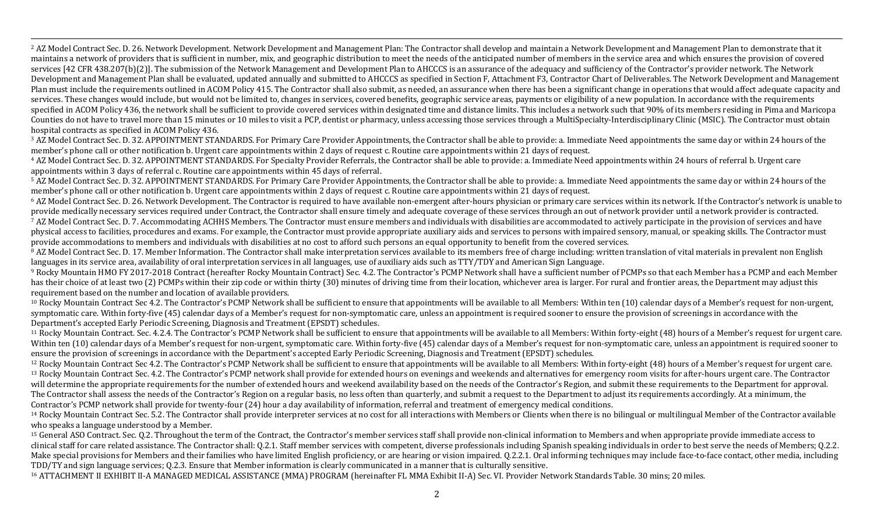<sup>2</sup> AZ Model Contract Sec. D. 26. Network Development. Network Development and Management Plan: The Contractor shall develop and maintain a Network Development and Management Plan to demonstrate that it maintains a network of providers that is sufficient in number, mix, and geographic distribution to meet the needs of the anticipated number of members in the service area and which ensures the provision of covered services [42 CFR 438.207(b)(2)]. The submission of the Network Management and Development Plan to AHCCCS is an assurance of the adequacy and sufficiency of the Contractor's provider network. The Network Development and Management Plan shall be evaluated, updated annually and submitted to AHCCCS as specified in Section F, Attachment F3, Contractor Chart of Deliverables. The Network Development and Management Plan must include the requirements outlined in ACOM Policy 415. The Contractor shall also submit, as needed, an assurance when there has been a significant change in operations that would affect adequate capacity and services. These changes would include, but would not be limited to, changes in services, covered benefits, geographic service areas, payments or eligibility of a new population. In accordance with the requirements specified in ACOM Policy 436, the network shall be sufficient to provide covered services within designated time and distance limits. This includes a network such that 90% of its members residing in Pima and Maricopa Counties do not have to travel more than 15 minutes or 10 miles to visit a PCP, dentist or pharmacy, unless accessing those services through a MultiSpecialty-Interdisciplinary Clinic (MSIC). The Contractor must obtain hospital contracts as specified in ACOM Policy 436.

,一个人都没有,他们的人都没有,他们的人都没有,他们的人都没有,他们的人都没有,他们的人都没有,他们的人都没有,他们的人都是不是,他们的人都是不是,他们的人都是<br>第251章 我们的人都是不是,他们的人都是不是,他们的人都是不是,他们的人都是不是,他们的人都是不是,他们的人都是不是,他们的人都是不是,他们的人都是不是不是,

<sup>3</sup> AZ Model Contract Sec. D. 32. APPOINTMENT STANDARDS. For Primary Care Provider Appointments, the Contractor shall be able to provide: a. Immediate Need appointments the same day or within 24 hours of the member's phone call or other notification b. Urgent care appointments within 2 days of request c. Routine care appointments within 21 days of request.

<sup>4</sup> AZ Model Contract Sec. D. 32. APPOINTMENT STANDARDS. For Specialty Provider Referrals, the Contractor shall be able to provide: a. Immediate Need appointments within 24 hours of referral b. Urgent care appointments within 3 days of referral c. Routine care appointments within 45 days of referral.

<sup>5</sup> AZ Model Contract Sec. D. 32. APPOINTMENT STANDARDS. For Primary Care Provider Appointments, the Contractor shall be able to provide: a. Immediate Need appointments the same day or within 24 hours of the member's phone call or other notification b. Urgent care appointments within 2 days of request c. Routine care appointments within 21 days of request.

 $6$  AZ Model Contract Sec. D. 26. Network Development. The Contractor is required to have available non-emergent after-hours physician or primary care services within its network. If the Contractor's network is unable to provide medically necessary services required under Contract, the Contractor shall ensure timely and adequate coverage of these services through an out of network provider until a network provider is contracted. <sup>7</sup> AZ Model Contract Sec. D. 7. Accommodating ACHHS Members. The Contractor must ensure members and individuals with disabilities are accommodated to actively participate in the provision of services and have physical access to facilities, procedures and exams. For example, the Contractor must provide appropriate auxiliary aids and services to persons with impaired sensory, manual, or speaking skills. The Contractor must provide accommodations to members and individuals with disabilities at no cost to afford such persons an equal opportunity to benefit from the covered services.

<sup>8</sup> AZ Model Contract Sec. D. 17. Member Information. The Contractor shall make interpretation services available to its members free of charge including: written translation of vital materials in prevalent non English languages in its service area, availability of oral interpretation services in all languages, use of auxiliary aids such as TTY/TDY and American Sign Language.

<sup>9</sup> Rocky Mountain HMO FY 2017-2018 Contract (hereafter Rocky Mountain Contract) Sec. 4.2. The Contractor's PCMP Network shall have a sufficient number of PCMPs so that each Member has a PCMP and each Member has their choice of at least two (2) PCMPs within their zip code or within thirty (30) minutes of driving time from their location, whichever area is larger. For rural and frontier areas, the Department may adjust this requirement based on the number and location of available providers.

<sup>10</sup> Rocky Mountain Contract Sec 4.2. The Contractor's PCMP Network shall be sufficient to ensure that appointments will be available to all Members: Within ten (10) calendar days of a Member's request for non-urgent, symptomatic care. Within forty-five (45) calendar days of a Member's request for non-symptomatic care, unless an appointment is required sooner to ensure the provision of screenings in accordance with the Department's accepted Early Periodic Screening, Diagnosis and Treatment (EPSDT) schedules.

<sup>11</sup> Rocky Mountain Contract. Sec. 4.2.4. The Contractor's PCMP Network shall be sufficient to ensure that appointments will be available to all Members: Within forty-eight (48) hours of a Member's request for urgent care. Within ten (10) calendar days of a Member's request for non-urgent, symptomatic care. Within forty-five (45) calendar days of a Member's request for non-symptomatic care, unless an appointment is required sooner to ensure the provision of screenings in accordance with the Department's accepted Early Periodic Screening, Diagnosis and Treatment (EPSDT) schedules.

<sup>12</sup> Rocky Mountain Contract Sec 4.2. The Contractor's PCMP Network shall be sufficient to ensure that appointments will be available to all Members: Within forty-eight (48) hours of a Member's request for urgent care. <sup>13</sup> Rocky Mountain Contract Sec. 4.2. The Contractor's PCMP network shall provide for extended hours on evenings and weekends and alternatives for emergency room visits for after-hours urgent care. The Contractor will determine the appropriate requirements for the number of extended hours and weekend availability based on the needs of the Contractor's Region, and submit these requirements to the Department for approval. The Contractor shall assess the needs of the Contractor's Region on a regular basis, no less often than quarterly, and submit a request to the Department to adjust its requirements accordingly. At a minimum, the Contractor's PCMP network shall provide for twenty-four (24) hour a day availability of information, referral and treatment of emergency medical conditions.

<sup>14</sup> Rocky Mountain Contract Sec. 5.2. The Contractor shall provide interpreter services at no cost for all interactions with Members or Clients when there is no bilingual or multilingual Member of the Contractor available who speaks a language understood by a Member.

<sup>15</sup> General ASO Contract. Sec. 0.2. Throughout the term of the Contract, the Contractor's member services staff shall provide non-clinical information to Members and when appropriate provide immediate access to clinical staff for care related assistance. The Contractor shall: Q.2.1. Staff member services with competent, diverse professionals including Spanish speaking individuals in order to best serve the needs of Members; Q.2.2 Make special provisions for Members and their families who have limited English proficiency, or are hearing or vision impaired. 0.2.2.1. Oral informing techniques may include face-to-face contact, other media, including TDD/TY and sign language services; Q.2.3. Ensure that Member information is clearly communicated in a manner that is culturally sensitive.

<sup>16</sup> ATTACHMENT II EXHIBIT II-A MANAGED MEDICAL ASSISTANCE (MMA) PROGRAM (hereinafter FL MMA Exhibit II-A) Sec. VI. Provider Network Standards Table. 30 mins; 20 miles.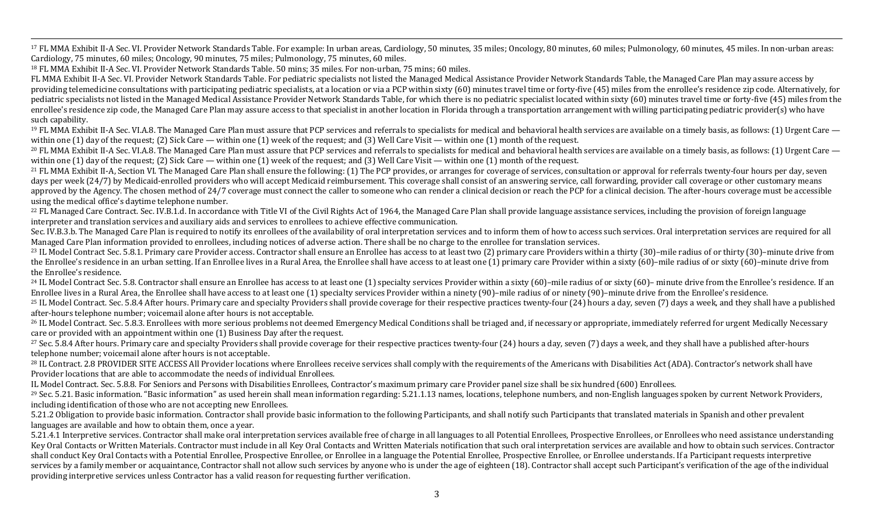,一个人都没有,他们的人都没有,他们的人都没有,他们的人都没有,他们的人都没有,他们的人都没有,他们的人都没有,他们的人都是不是,他们的人都是不是,他们的人都是<br>第251章 我们的人都是不是,他们的人都是不是,他们的人都是不是,他们的人都是不是,他们的人都是不是,他们的人都是不是,他们的人都是不是,他们的人都是不是不是, <sup>17</sup> FL MMA Exhibit II-A Sec. VI. Provider Network Standards Table. For example: In urban areas, Cardiology, 50 minutes, 35 miles; Oncology, 80 minutes, 60 miles; Pulmonology, 60 minutes, 45 miles. In non-urban areas: Cardiology, 75 minutes, 60 miles; Oncology, 90 minutes, 75 miles; Pulmonology, 75 minutes, 60 miles.

<sup>18</sup> FL MMA Exhibit II-A Sec. VI. Provider Network Standards Table. 50 mins; 35 miles. For non-urban, 75 mins; 60 miles.

FL MMA Exhibit II-A Sec. VI. Provider Network Standards Table. For pediatric specialists not listed the Managed Medical Assistance Provider Network Standards Table, the Managed Care Plan may assure access by providing telemedicine consultations with participating pediatric specialists, at a location or via a PCP within sixty (60) minutes travel time or forty-five (45) miles from the enrollee's residence zip code. Alternatively pediatric specialists not listed in the Managed Medical Assistance Provider Network Standards Table, for which there is no pediatric specialist located within sixty (60) minutes travel time or forty-five (45) miles from th enrollee's residence zip code, the Managed Care Plan may assure access to that specialist in another location in Florida through a transportation arrangement with willing participating pediatric provider(s) who have such capability.

 $19$  FL MMA Exhibit II-A Sec. VI.A.8. The Managed Care Plan must assure that PCP services and referrals to specialists for medical and behavioral health services are available on a timely basis, as follows: (1) Urgent Car within one  $(1)$  day of the request;  $(2)$  Sick Care — within one  $(1)$  week of the request; and  $(3)$  Well Care Visit — within one  $(1)$  month of the request.

<sup>20</sup> FL MMA Exhibit II-A Sec. VI.A.8. The Managed Care Plan must assure that PCP services and referrals to specialists for medical and behavioral health services are available on a timely basis, as follows: (1) Urgent Care within one  $(1)$  day of the request;  $(2)$  Sick Care — within one  $(1)$  week of the request; and  $(3)$  Well Care Visit — within one  $(1)$  month of the request.

<sup>21</sup> FL MMA Exhibit II-A, Section VI. The Managed Care Plan shall ensure the following: (1) The PCP provides, or arranges for coverage of services, consultation or approval for referrals twenty-four hours per day, seven days per week (24/7) by Medicaid-enrolled providers who will accept Medicaid reimbursement. This coverage shall consist of an answering service, call forwarding, provider call coverage or other customary means approved by the Agency. The chosen method of 24/7 coverage must connect the caller to someone who can render a clinical decision or reach the PCP for a clinical decision. The after-hours coverage must be accessible using the medical office's daytime telephone number.

<sup>22</sup> FL Managed Care Contract. Sec. IV.B.1.d. In accordance with Title VI of the Civil Rights Act of 1964, the Managed Care Plan shall provide language assistance services, including the provision of foreign language interpreter and translation services and auxiliary aids and services to enrollees to achieve effective communication.

Sec. IV.B.3.b. The Managed Care Plan is required to notify its enrollees of the availability of oral interpretation services and to inform them of how to access such services. Oral interpretation services are required for Managed Care Plan information provided to enrollees, including notices of adverse action. There shall be no charge to the enrollee for translation services.

<sup>23</sup> IL Model Contract Sec. 5.8.1. Primary care Provider access. Contractor shall ensure an Enrollee has access to at least two (2) primary care Providers within a thirty (30)–mile radius of or thirty (30)–minute drive fro the Enrollee's residence in an urban setting. If an Enrollee lives in a Rural Area, the Enrollee shall have access to at least one (1) primary care Provider within a sixty (60)–mile radius of or sixty (60)–minute drive fr the Enrollee's residence.

<sup>24</sup> IL Model Contract Sec. 5.8. Contractor shall ensure an Enrollee has access to at least one (1) specialty services Provider within a sixty (60)-mile radius of or sixty (60)- minute drive from the Enrollee's residence. Enrollee lives in a Rural Area, the Enrollee shall have access to at least one (1) specialty services Provider within a ninety (90)–mile radius of or ninety (90)–minute drive from the Enrollee's residence.

<sup>25</sup> IL Model Contract. Sec. 5.8.4 After hours. Primary care and specialty Providers shall provide coverage for their respective practices twenty-four (24) hours a day, seven (7) days a week, and they shall have a publishe after-hours telephone number; voicemail alone after hours is not acceptable.

<sup>26</sup> IL Model Contract. Sec. 5.8.3. Enrollees with more serious problems not deemed Emergency Medical Conditions shall be triaged and, if necessary or appropriate, immediately referred for urgent Medically Necessary care or provided with an appointment within one  $(1)$  Business Day after the request.

<sup>27</sup> Sec. 5.8.4 After hours. Primary care and specialty Providers shall provide coverage for their respective practices twenty-four (24) hours a day, seven (7) days a week, and they shall have a published after-hours telephone number; voicemail alone after hours is not acceptable.

<sup>28</sup> IL Contract. 2.8 PROVIDER SITE ACCESS All Provider locations where Enrollees receive services shall comply with the requirements of the Americans with Disabilities Act (ADA). Contractor's network shall have Provider locations that are able to accommodate the needs of individual Enrollees.

IL Model Contract. Sec. 5.8.8. For Seniors and Persons with Disabilities Enrollees, Contractor's maximum primary care Provider panel size shall be six hundred (600) Enrollees.

<sup>29</sup> Sec. 5.21. Basic information. "Basic information" as used herein shall mean information regarding: 5.21.1.13 names, locations, telephone numbers, and non-English languages spoken by current Network Providers, including identification of those who are not accepting new Enrollees.

5.21.2 Obligation to provide basic information. Contractor shall provide basic information to the following Participants, and shall notify such Participants that translated materials in Spanish and other prevalent languages are available and how to obtain them, once a year.

5.21.4.1 Interpretive services. Contractor shall make oral interpretation services available free of charge in all languages to all Potential Enrollees, Prospective Enrollees, or Enrollees who need assistance understanding Key Oral Contacts or Written Materials. Contractor must include in all Key Oral Contacts and Written Materials notification that such oral interpretation services are available and how to obtain such services. Contractor shall conduct Key Oral Contacts with a Potential Enrollee, Prospective Enrollee, or Enrollee in a language the Potential Enrollee, Prospective Enrollee, or Enrollee understands. If a Participant requests interpretive services by a family member or acquaintance. Contractor shall not allow such services by anyone who is under the age of eighteen (18). Contractor shall accept such Participant's verification of the age of the individual providing interpretive services unless Contractor has a valid reason for requesting further verification.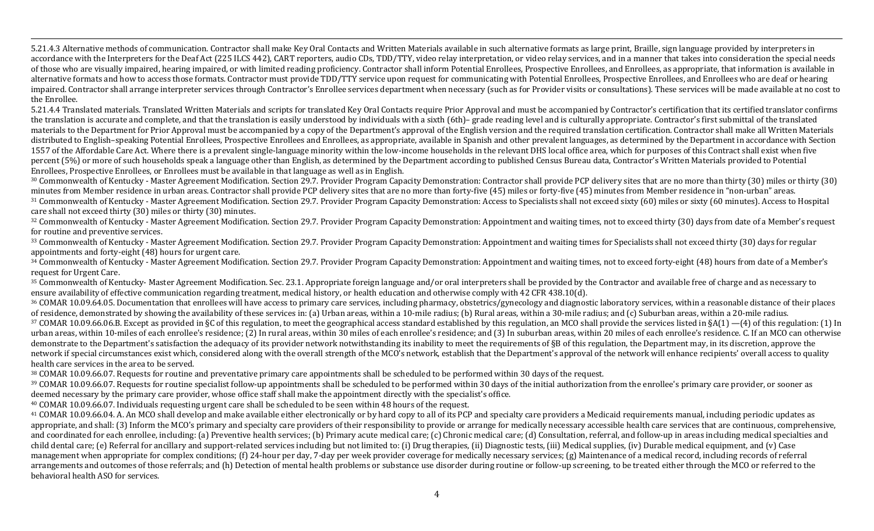5.21.4.3 Alternative methods of communication. Contractor shall make Key Oral Contacts and Written Materials available in such alternative formats as large print, Braille, sign language provided by interpreters in accordance with the Interpreters for the Deaf Act (225 ILCS 442), CART reporters, audio CDs, TDD/TTY, video relay interpretation, or video relay services, and in a manner that takes into consideration the special needs of those who are visually impaired, hearing impaired, or with limited reading proficiency. Contractor shall inform Potential Enrollees, Prospective Enrollees, and Enrollees, as appropriate, that information is available in alternative formats and how to access those formats. Contractor must provide TDD/TTY service upon request for communicating with Potential Enrollees, Prospective Enrollees, and Enrollees who are deaf or hearing impaired. Contractor shall arrange interpreter services through Contractor's Enrollee services department when necessary (such as for Provider visits or consultations). These services will be made available at no cost to the Enrollee.

,一个人都没有,他们的人都没有,他们的人都没有,他们的人都没有,他们的人都没有,他们的人都没有,他们的人都没有,他们的人都是不是,他们的人都是不是,他们的人都是<br>第251章 我们的人都是不是,他们的人都是不是,他们的人都是不是,他们的人都是不是,他们的人都是不是,他们的人都是不是,他们的人都是不是,他们的人都是不是不是,

5.21.4.4 Translated materials. Translated Written Materials and scripts for translated Key Oral Contacts require Prior Approval and must be accompanied by Contractor's certification that its certified translator confirms the translation is accurate and complete, and that the translation is easily understood by individuals with a sixth (6th)– grade reading level and is culturally appropriate. Contractor's first submittal of the translated materials to the Department for Prior Approval must be accompanied by a copy of the Department's approval of the English version and the required translation certification. Contractor shall make all Written Materials distributed to English–speaking Potential Enrollees, Prospective Enrollees and Enrollees, as appropriate, available in Spanish and other prevalent languages, as determined by the Department in accordance with Section 1557 of the Affordable Care Act. Where there is a prevalent single-language minority within the low-income households in the relevant DHS local office area, which for purposes of this Contract shall exist when five percent (5%) or more of such households speak a language other than English, as determined by the Department according to published Census Bureau data, Contractor's Written Materials provided to Potential Enrollees, Prospective Enrollees, or Enrollees must be available in that language as well as in English.

<sup>30</sup> Commonwealth of Kentucky - Master Agreement Modification. Section 29.7. Provider Program Capacity Demonstration: Contractor shall provide PCP delivery sites that are no more than thirty (30) miles or thirty (30) minutes from Member residence in urban areas. Contractor shall provide PCP delivery sites that are no more than forty-five (45) miles or forty-five (45) minutes from Member residence in "non-urban" areas. <sup>31</sup> Commonwealth of Kentucky - Master Agreement Modification. Section 29.7. Provider Program Capacity Demonstration: Access to Specialists shall not exceed sixty (60) miles or sixty (60 minutes). Access to Hospital

care shall not exceed thirty (30) miles or thirty (30) minutes.

32 Commonwealth of Kentucky - Master Agreement Modification. Section 29.7. Provider Program Capacity Demonstration: Appointment and waiting times, not to exceed thirty (30) days from date of a Member's request for routine and preventive services.

33 Commonwealth of Kentucky - Master Agreement Modification. Section 29.7. Provider Program Capacity Demonstration: Appointment and waiting times for Specialists shall not exceed thirty (30) days for regular appointments and forty-eight (48) hours for urgent care.

34 Commonwealth of Kentucky - Master Agreement Modification. Section 29.7. Provider Program Capacity Demonstration: Appointment and waiting times, not to exceed forty-eight (48) hours from date of a Member's request for Urgent Care.

<sup>35</sup> Commonwealth of Kentucky- Master Agreement Modification. Sec. 23.1. Appropriate foreign language and/or oral interpreters shall be provided by the Contractor and available free of charge and as necessary to ensure availability of effective communication regarding treatment, medical history, or health education and otherwise comply with 42 CFR 438.10(d).

36 COMAR 10.09.64.05. Documentation that enrollees will have access to primary care services, including pharmacy, obstetrics/gynecology and diagnostic laboratory services, within a reasonable distance of their places of residence, demonstrated by showing the availability of these services in: (a) Urban areas, within a 10-mile radius; (b) Rural areas, within a 30-mile radius; and (c) Suburban areas, within a 20-mile radius.  $37$  COMAR 10.09.66.06.B. Except as provided in §C of this regulation, to meet the geographical access standard established by this regulation, an MCO shall provide the services listed in §A(1) —(4) of this regulation: (1 urban areas, within 10-miles of each enrollee's residence; (2) In rural areas, within 30 miles of each enrollee's residence; and (3) In suburban areas, within 20 miles of each enrollee's residence. C. If an MCO can otherwi demonstrate to the Department's satisfaction the adequacy of its provider network notwithstanding its inability to meet the requirements of §B of this regulation, the Department may, in its discretion, approve the network if special circumstances exist which, considered along with the overall strength of the MCO's network, establish that the Department's approval of the network will enhance recipients' overall access to quality health care services in the area to be served.

38 COMAR 10.09.66.07. Requests for routine and preventative primary care appointments shall be scheduled to be performed within 30 days of the request.

39 COMAR 10.09.66.07. Requests for routine specialist follow-up appointments shall be scheduled to be performed within 30 days of the initial authorization from the enrollee's primary care provider, or sooner as deemed necessary by the primary care provider, whose office staff shall make the appointment directly with the specialist's office.

<sup>40</sup> COMAR 10.09.66.07. Individuals requesting urgent care shall be scheduled to be seen within 48 hours of the request.

<sup>41</sup> COMAR 10.09.66.04. A. An MCO shall develop and make available either electronically or by hard copy to all of its PCP and specialty care providers a Medicaid requirements manual, including periodic updates as appropriate, and shall: (3) Inform the MCO's primary and specialty care providers of their responsibility to provide or arrange for medically necessary accessible health care services that are continuous, comprehensive, and coordinated for each enrollee, including: (a) Preventive health services; (b) Primary acute medical care; (c) Chronic medical care; (d) Consultation, referral, and follow-up in areas including medical specialties and child dental care; (e) Referral for ancillary and support-related services including but not limited to: (i) Drug therapies, (ii) Diagnostic tests, (iii) Medical supplies, (iv) Durable medical equipment, and (v) Case management when appropriate for complex conditions; (f) 24-hour per day, 7-day per week provider coverage for medically necessary services; (g) Maintenance of a medical record, including records of referral arrangements and outcomes of those referrals; and (h) Detection of mental health problems or substance use disorder during routine or follow-up screening, to be treated either through the MCO or referred to the behavioral health ASO for services.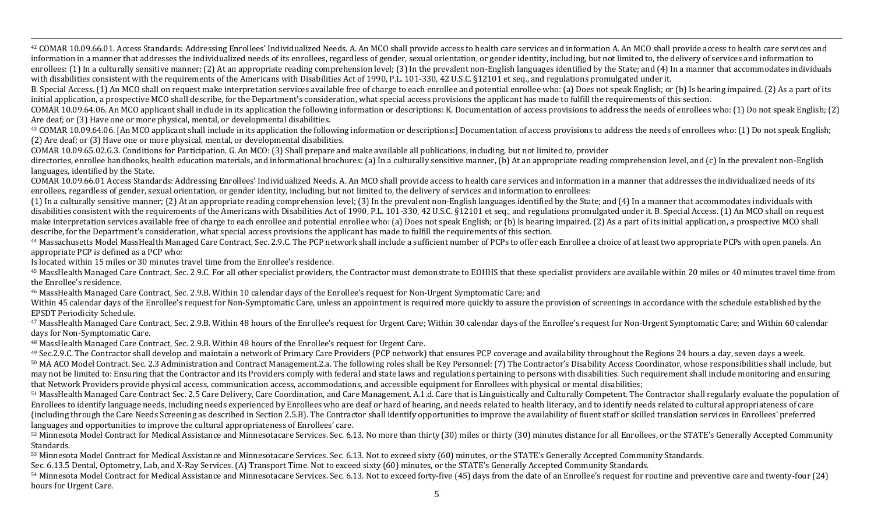,一个人都没有,他们的人都没有,他们的人都没有,他们的人都没有,他们的人都没有,他们的人都没有,他们的人都没有,他们的人都是不是,他们的人都是不是,他们的人都是<br>第251章 我们的人都是不是,他们的人都是不是,他们的人都是不是,他们的人都是不是,他们的人都是不是,他们的人都是不是,他们的人都是不是,他们的人都是不是不是, <sup>42</sup> COMAR 10.09.66.01. Access Standards: Addressing Enrollees' Individualized Needs. A. An MCO shall provide access to health care services and information A. An MCO shall provide access to health care services and information in a manner that addresses the individualized needs of its enrollees, regardless of gender, sexual orientation, or gender identity, including, but not limited to, the delivery of services and information to enrollees: (1) In a culturally sensitive manner; (2) At an appropriate reading comprehension level; (3) In the prevalent non-English languages identified by the State; and (4) In a manner that accommodates individuals

with disabilities consistent with the requirements of the Americans with Disabilities Act of 1990, P.L. 101-330, 42 U.S.C. §12101 et seq., and regulations promulgated under it.

B. Special Access. (1) An MCO shall on request make interpretation services available free of charge to each enrollee and potential enrollee who: (a) Does not speak English; or (b) Is hearing impaired. (2) As a part of its initial application, a prospective MCO shall describe, for the Department's consideration, what special access provisions the applicant has made to fulfill the requirements of this section.

COMAR 10.09.64.06. An MCO applicant shall include in its application the following information or descriptions: K. Documentation of access provisions to address the needs of enrollees who: (1) Do not speak English; (2) Are deaf; or  $(3)$  Have one or more physical, mental, or developmental disabilities.

<sup>43</sup> COMAR 10.09.64.06. [An MCO applicant shall include in its application the following information or descriptions:] Documentation of access provisions to address the needs of enrollees who: (1) Do not speak English; (2) Are deaf; or (3) Have one or more physical, mental, or developmental disabilities.

COMAR 10.09.65.02.G.3. Conditions for Participation. G. An MCO: (3) Shall prepare and make available all publications, including, but not limited to, provider

directories, enrollee handbooks, health education materials, and informational brochures: (a) In a culturally sensitive manner, (b) At an appropriate reading comprehension level, and (c) In the prevalent non-English languages, identified by the State.

COMAR 10.09.66.01 Access Standards: Addressing Enrollees' Individualized Needs. A. An MCO shall provide access to health care services and information in a manner that addresses the individualized needs of its enrollees, regardless of gender, sexual orientation, or gender identity, including, but not limited to, the delivery of services and information to enrollees:

(1) In a culturally sensitive manner; (2) At an appropriate reading comprehension level; (3) In the prevalent non-English languages identified by the State; and (4) In a manner that accommodates individuals with disabilities consistent with the requirements of the Americans with Disabilities Act of 1990, P.L. 101-330, 42 U.S.C. §12101 et seq., and regulations promulgated under it. B. Special Access. (1) An MCO shall on request make interpretation services available free of charge to each enrollee and potential enrollee who: (a) Does not speak English; or (b) Is hearing impaired. (2) As a part of its initial application, a prospective MCO shall describe, for the Department's consideration, what special access provisions the applicant has made to fulfill the requirements of this section.

<sup>44</sup> Massachusetts Model MassHealth Managed Care Contract, Sec. 2.9.C. The PCP network shall include a sufficient number of PCPs to offer each Enrollee a choice of at least two appropriate PCPs with open panels. An appropriate PCP is defined as a PCP who:

Is located within 15 miles or 30 minutes travel time from the Enrollee's residence.

<sup>45</sup> MassHealth Managed Care Contract, Sec. 2.9.C. For all other specialist providers, the Contractor must demonstrate to EOHHS that these specialist providers are available within 20 miles or 40 minutes travel time from the Enrollee's residence.

<sup>46</sup> MassHealth Managed Care Contract, Sec. 2.9.B. Within 10 calendar days of the Enrollee's request for Non-Urgent Symptomatic Care; and

Within 45 calendar days of the Enrollee's request for Non-Symptomatic Care, unless an appointment is required more quickly to assure the provision of screenings in accordance with the schedule established by the EPSDT Periodicity Schedule.

<sup>47</sup> MassHealth Managed Care Contract, Sec. 2.9.B. Within 48 hours of the Enrollee's request for Urgent Care; Within 30 calendar days of the Enrollee's request for Non-Urgent Symptomatic Care; and Within 60 calendar days for Non-Symptomatic Care.

<sup>48</sup> MassHealth Managed Care Contract, Sec. 2.9.B. Within 48 hours of the Enrollee's request for Urgent Care.

<sup>49</sup> Sec.2.9.C. The Contractor shall develop and maintain a network of Primary Care Providers (PCP network) that ensures PCP coverage and availability throughout the Regions 24 hours a day, seven days a week. 50 MA ACO Model Contract. Sec. 2.3 Administration and Contract Management.2.a. The following roles shall be Key Personnel: (7) The Contractor's Disability Access Coordinator, whose responsibilities shall include, but may not be limited to: Ensuring that the Contractor and its Providers comply with federal and state laws and regulations pertaining to persons with disabilities. Such requirement shall include monitoring and ensuring that Network Providers provide physical access, communication access, accommodations, and accessible equipment for Enrollees with physical or mental disabilities;

51 MassHealth Managed Care Contract Sec. 2.5 Care Delivery, Care Coordination, and Care Management. A.1.d. Care that is Linguistically and Culturally Competent. The Contractor shall regularly evaluate the population of Enrollees to identify language needs, including needs experienced by Enrollees who are deaf or hard of hearing, and needs related to health literacy, and to identify needs related to cultural appropriateness of care (including through the Care Needs Screening as described in Section 2.5.B). The Contractor shall identify opportunities to improve the availability of fluent staff or skilled translation services in Enrollees' preferred languages and opportunities to improve the cultural appropriateness of Enrollees' care.

<sup>52</sup> Minnesota Model Contract for Medical Assistance and Minnesotacare Services. Sec. 6.13. No more than thirty (30) miles or thirty (30) minutes distance for all Enrollees, or the STATE's Generally Accepted Community Standards.

53 Minnesota Model Contract for Medical Assistance and Minnesotacare Services. Sec. 6.13. Not to exceed sixty (60) minutes, or the STATE's Generally Accepted Community Standards.

Sec. 6.13.5 Dental, Optometry, Lab, and X-Ray Services. (A) Transport Time. Not to exceed sixty (60) minutes, or the STATE's Generally Accepted Community Standards.

54 Minnesota Model Contract for Medical Assistance and Minnesotacare Services. Sec. 6.13. Not to exceed forty-five (45) days from the date of an Enrollee's request for routine and preventive care and twenty-four (24) hours for Urgent Care.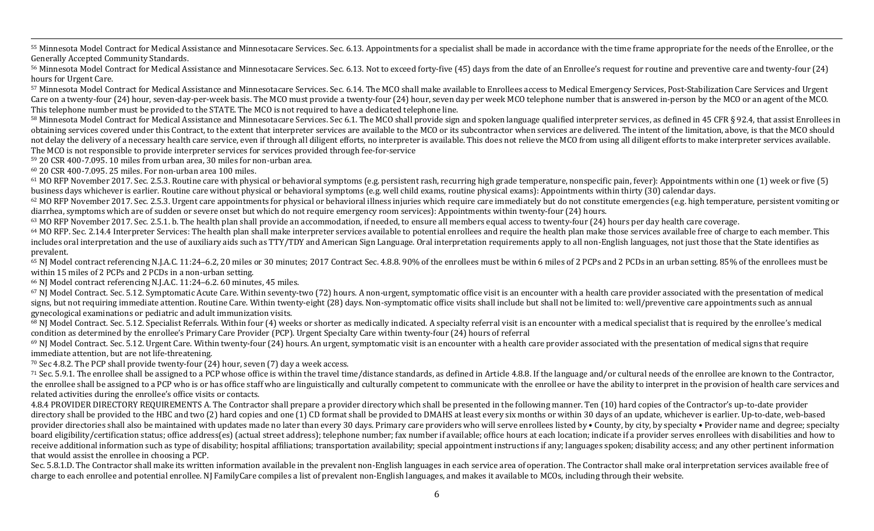55 Minnesota Model Contract for Medical Assistance and Minnesotacare Services. Sec. 6.13. Appointments for a specialist shall be made in accordance with the time frame appropriate for the needs of the Enrollee, or the Generally Accepted Community Standards.

,一个人都没有,他们的人都没有,他们的人都没有,他们的人都没有,他们的人都没有,他们的人都没有,他们的人都没有,他们的人都是不是,他们的人都是不是,他们的人都是<br>第251章 我们的人都是不是,他们的人都是不是,他们的人都是不是,他们的人都是不是,他们的人都是不是,他们的人都是不是,他们的人都是不是,他们的人都是不是不是,

56 Minnesota Model Contract for Medical Assistance and Minnesotacare Services. Sec. 6.13. Not to exceed forty-five (45) days from the date of an Enrollee's request for routine and preventive care and twenty-four (24) hours for Urgent Care.

57 Minnesota Model Contract for Medical Assistance and Minnesotacare Services. Sec. 6.14. The MCO shall make available to Enrollees access to Medical Emergency Services, Post-Stabilization Care Services and Urgent Care on a twenty-four (24) hour, seven-day-per-week basis. The MCO must provide a twenty-four (24) hour, seven day per week MCO telephone number that is answered in-person by the MCO or an agent of the MCO. This telephone number must be provided to the STATE. The MCO is not required to have a dedicated telephone line.

58 Minnesota Model Contract for Medical Assistance and Minnesotacare Services. Sec 6.1. The MCO shall provide sign and spoken language qualified interpreter services, as defined in 45 CFR § 92.4, that assist Enrollees in obtaining services covered under this Contract, to the extent that interpreter services are available to the MCO or its subcontractor when services are delivered. The intent of the limitation, above, is that the MCO should not delay the delivery of a necessary health care service, even if through all diligent efforts, no interpreter is available. This does not relieve the MCO from using all diligent efforts to make interpreter services avail The MCO is not responsible to provide interpreter services for services provided through fee-for-service

59 20 CSR 400-7.095. 10 miles from urban area, 30 miles for non-urban area.

 $60$  20 CSR 400-7.095. 25 miles. For non-urban area 100 miles.

 $61$  MO RFP November 2017. Sec. 2.5.3. Routine care with physical or behavioral symptoms (e.g. persistent rash, recurring high grade temperature, nonspecific pain, fever): Appointments within one (1) week or five (5) business days whichever is earlier. Routine care without physical or behavioral symptoms (e.g. well child exams, routine physical exams): Appointments within thirty (30) calendar days.

 $62$  MO RFP November 2017. Sec. 2.5.3. Urgent care appointments for physical or behavioral illness injuries which require care immediately but do not constitute emergencies (e.g. high temperature, persistent vomiting or diarrhea, symptoms which are of sudden or severe onset but which do not require emergency room services): Appointments within twenty-four (24) hours.

<sup>63</sup> MO RFP November 2017. Sec. 2.5.1. b. The health plan shall provide an accommodation, if needed, to ensure all members equal access to twenty-four (24) hours per day health care coverage.

 $64$  MO RFP. Sec. 2.14.4 Interpreter Services: The health plan shall make interpreter services available to potential enrollees and require the health plan make those services available free of charge to each member. This includes oral interpretation and the use of auxiliary aids such as TTY/TDY and American Sign Language. Oral interpretation requirements apply to all non-English languages, not just those that the State identifies as prevalent.

65 NJ Model contract referencing N.J.A.C. 11:24–6.2, 20 miles or 30 minutes; 2017 Contract Sec. 4.8.8. 90% of the enrollees must be within 6 miles of 2 PCPs and 2 PCDs in an urban setting. 85% of the enrollees must be within 15 miles of 2 PCPs and 2 PCDs in a non-urban setting.

 $66$  NJ Model contract referencing N.J.A.C. 11:24–6.2. 60 minutes, 45 miles.

67 NJ Model Contract. Sec. 5.12. Symptomatic Acute Care. Within seventy-two (72) hours. A non-urgent, symptomatic office visit is an encounter with a health care provider associated with the presentation of medical signs, but not requiring immediate attention. Routine Care. Within twenty-eight (28) days. Non-symptomatic office visits shall include but shall not be limited to: well/preventive care appointments such as annual gynecological examinations or pediatric and adult immunization visits.

 $68$  NJ Model Contract. Sec. 5.12. Specialist Referrals. Within four (4) weeks or shorter as medically indicated. A specialty referral visit is an encounter with a medical specialist that is required by the enrollee's med condition as determined by the enrollee's Primary Care Provider (PCP). Urgent Specialty Care within twenty-four (24) hours of referral

 $69$  NJ Model Contract. Sec. 5.12. Urgent Care. Within twenty-four (24) hours. An urgent, symptomatic visit is an encounter with a health care provider associated with the presentation of medical signs that require immediate attention, but are not life-threatening.

 $70$  Sec 4.8.2. The PCP shall provide twenty-four  $(24)$  hour, seven  $(7)$  day a week access.

71 Sec. 5.9.1. The enrollee shall be assigned to a PCP whose office is within the travel time/distance standards, as defined in Article 4.8.8. If the language and/or cultural needs of the enrollee are known to the Contract the enrollee shall be assigned to a PCP who is or has office staff who are linguistically and culturally competent to communicate with the enrollee or have the ability to interpret in the provision of health care services related activities during the enrollee's office visits or contacts.

4.8.4 PROVIDER DIRECTORY REQUIREMENTS A. The Contractor shall prepare a provider directory which shall be presented in the following manner. Ten (10) hard copies of the Contractor's up-to-date provider directory shall be provided to the HBC and two (2) hard copies and one (1) CD format shall be provided to DMAHS at least every six months or within 30 days of an update, whichever is earlier. Up-to-date, web-based provider directories shall also be maintained with updates made no later than every 30 days. Primary care providers who will serve enrollees listed by • County, by city, by specialty • Provider name and degree; specialty board eligibility/certification status; office address(es) (actual street address); telephone number; fax number if available; office hours at each location; indicate if a provider serves enrollees with disabilities and ho receive additional information such as type of disability; hospital affiliations; transportation availability; special appointment instructions if any; languages spoken; disability access; and any other pertinent informati that would assist the enrollee in choosing a PCP.

Sec. 5.8.1.D. The Contractor shall make its written information available in the prevalent non-English languages in each service area of operation. The Contractor shall make oral interpretation services available free of charge to each enrollee and potential enrollee. NJ FamilyCare compiles a list of prevalent non-English languages, and makes it available to MCOs, including through their website.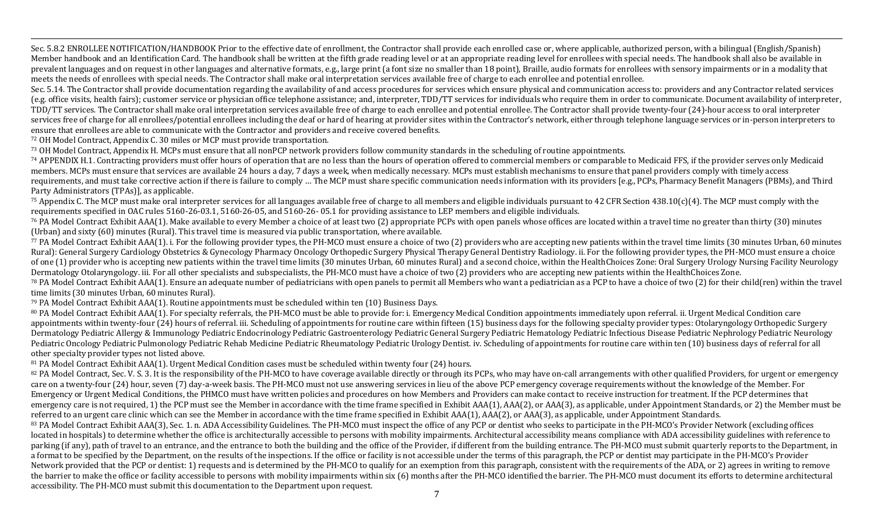,一个人都没有,他们的人都没有,他们的人都没有,他们的人都没有,他们的人都没有,他们的人都没有,他们的人都没有,他们的人都是不是,他们的人都是不是,他们的人都是<br>第251章 我们的人都是不是,他们的人都是不是,他们的人都是不是,他们的人都是不是,他们的人都是不是,他们的人都是不是,他们的人都是不是,他们的人都是不是不是, Sec. 5.8.2 ENROLLEE NOTIFICATION/HANDBOOK Prior to the effective date of enrollment, the Contractor shall provide each enrolled case or, where applicable, authorized person, with a bilingual (English/Spanish) Member handbook and an Identification Card. The handbook shall be written at the fifth grade reading level or at an appropriate reading level for enrollees with special needs. The handbook shall also be available in prevalent languages and on request in other languages and alternative formats, e.g., large print (a font size no smaller than 18 point), Braille, audio formats for enrollees with sensory impairments or in a modality that meets the needs of enrollees with special needs. The Contractor shall make oral interpretation services available free of charge to each enrollee and potential enrollee.

Sec. 5.14. The Contractor shall provide documentation regarding the availability of and access procedures for services which ensure physical and communication access to: providers and any Contractor related services (e.g. office visits, health fairs); customer service or physician office telephone assistance; and, interpreter, TDD/TT services for individuals who require them in order to communicate. Document availability of interprete TDD/TT services. The Contractor shall make oral interpretation services available free of charge to each enrollee and potential enrollee. The Contractor shall provide twenty-four (24)-hour access to oral interpreter services free of charge for all enrollees/potential enrollees including the deaf or hard of hearing at provider sites within the Contractor's network, either through telephone language services or in-person interpreters to ensure that enrollees are able to communicate with the Contractor and providers and receive covered benefits.

72 OH Model Contract, Appendix C. 30 miles or MCP must provide transportation.

73 OH Model Contract, Appendix H. MCPs must ensure that all nonPCP network providers follow community standards in the scheduling of routine appointments.

<sup>74</sup> APPENDIX H.1. Contracting providers must offer hours of operation that are no less than the hours of operation offered to commercial members or comparable to Medicaid FFS, if the provider serves only Medicaid members. MCPs must ensure that services are available 24 hours a day. 7 days a week, when medically necessary. MCPs must establish mechanisms to ensure that panel providers comply with timely access requirements, and must take corrective action if there is failure to comply ... The MCP must share specific communication needs information with its providers [e.g., PCPs, Pharmacy Benefit Managers (PBMs), and Third Party Administrators (TPAs)], as applicable.

 $^{75}$  Appendix C. The MCP must make oral interpreter services for all languages available free of charge to all members and eligible individuals pursuant to 42 CFR Section 438.10(c)(4). The MCP must comply with the requirements specified in OAC rules 5160-26-03.1, 5160-26-05, and 5160-26-05.1 for providing assistance to LEP members and eligible individuals.

<sup>76</sup> PA Model Contract Exhibit AAA(1). Make available to every Member a choice of at least two (2) appropriate PCPs with open panels whose offices are located within a travel time no greater than thirty (30) minutes (Urban) and sixty  $(60)$  minutes (Rural). This travel time is measured via public transportation, where available.

77 PA Model Contract Exhibit AAA(1). i. For the following provider types, the PH-MCO must ensure a choice of two (2) providers who are accepting new patients within the travel time limits (30 minutes Urban, 60 minutes Rural): General Surgery Cardiology Obstetrics & Gynecology Pharmacy Oncology Orthopedic Surgery Physical Therapy General Dentistry Radiology. ii. For the following provider types, the PH-MCO must ensure a choice of one (1) provider who is accepting new patients within the travel time limits (30 minutes Urban, 60 minutes Rural) and a second choice, within the HealthChoices Zone: Oral Surgery Urology Nursing Facility Neurology Dermatology Otolaryngology. iii. For all other specialists and subspecialists, the PH-MCO must have a choice of two (2) providers who are accepting new patients within the HealthChoices Zone.

 $^{78}$  PA Model Contract Exhibit AAA(1). Ensure an adequate number of pediatricians with open panels to permit all Members who want a pediatrician as a PCP to have a choice of two (2) for their child(ren) within the trave time limits (30 minutes Urban, 60 minutes Rural).

 $79$  PA Model Contract Exhibit AAA(1). Routine appointments must be scheduled within ten (10) Business Days.

<sup>80</sup> PA Model Contract Exhibit AAA(1). For specialty referrals, the PH-MCO must be able to provide for: i. Emergency Medical Condition appointments immediately upon referral, ii. Urgent Medical Condition care appointments within twenty-four (24) hours of referral, iii. Scheduling of appointments for routine care within fifteen (15) business days for the following specialty provider types: Otolaryngology Orthopedic Surgery Dermatology Pediatric Allergy & Immunology Pediatric Endocrinology Pediatric Gastroenterology Pediatric General Surgery Pediatric Hematology Pediatric Infectious Disease Pediatric Nephrology Pediatric Neurology Pediatric Oncology Pediatric Pulmonology Pediatric Rehab Medicine Pediatric Rheumatology Pediatric Urology Dentist. iv. Scheduling of appointments for routine care within ten (10) business days of referral for all other specialty provider types not listed above.

81 PA Model Contract Exhibit AAA(1). Urgent Medical Condition cases must be scheduled within twenty four (24) hours.

<sup>82</sup> PA Model Contract, Sec. V. S. 3. It is the responsibility of the PH-MCO to have coverage available directly or through its PCPs, who may have on-call arrangements with other qualified Providers, for urgent or emergenc care on a twenty-four (24) hour, seven (7) day-a-week basis. The PH-MCO must not use answering services in lieu of the above PCP emergency coverage requirements without the knowledge of the Member. For Emergency or Urgent Medical Conditions, the PHMCO must have written policies and procedures on how Members and Providers can make contact to receive instruction for treatment. If the PCP determines that emergency care is not required, 1) the PCP must see the Member in accordance with the time frame specified in Exhibit AAA(1), AAA(2), or AAA(3), as applicable, under Appointment Standards, or 2) the Member must be referred to an urgent care clinic which can see the Member in accordance with the time frame specified in Exhibit AAA(1), AAA(2), or AAA(3), as applicable, under Appointment Standards.

<sup>83</sup> PA Model Contract Exhibit AAA(3), Sec. 1, n. ADA Accessibility Guidelines. The PH-MCO must inspect the office of any PCP or dentist who seeks to participate in the PH-MCO's Provider Network (excluding offices located in hospitals) to determine whether the office is architecturally accessible to persons with mobility impairments. Architectural accessibility means compliance with ADA accessibility guidelines with reference to parking (if any), path of travel to an entrance, and the entrance to both the building and the office of the Provider, if different from the building entrance. The PH-MCO must submit quarterly reports to the Department, i a format to be specified by the Department, on the results of the inspections. If the office or facility is not accessible under the terms of this paragraph, the PCP or dentist may participate in the PH-MCO's Provider Network provided that the PCP or dentist: 1) requests and is determined by the PH-MCO to qualify for an exemption from this paragraph, consistent with the requirements of the ADA, or 2) agrees in writing to remove the barrier to make the office or facility accessible to persons with mobility impairments within six (6) months after the PH-MCO identified the barrier. The PH-MCO must document its efforts to determine architectural accessibility. The PH-MCO must submit this documentation to the Department upon request.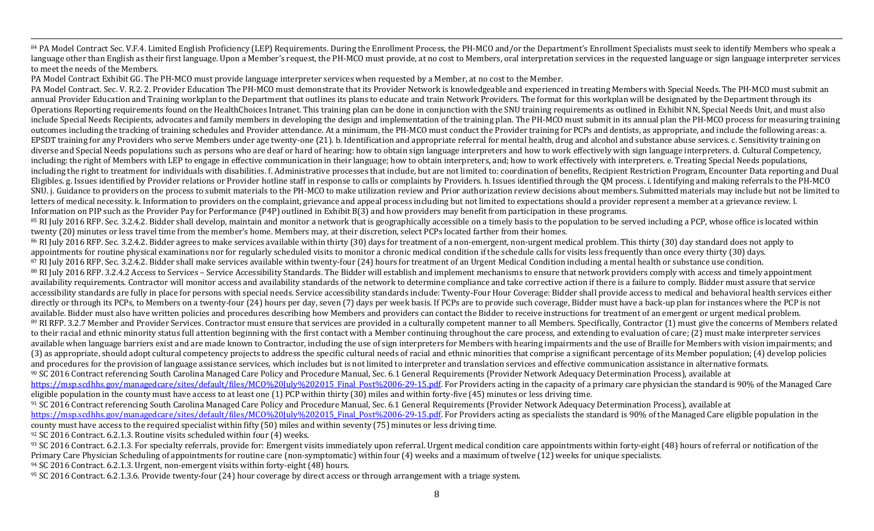<sup>84</sup> PA Model Contract Sec. V.F.4. Limited English Proficiency (LEP) Requirements. During the Enrollment Process, the PH-MCO and/or the Department's Enrollment Specialists must seek to identify Members who speak a language other than English as their first language. Upon a Member's request, the PH-MCO must provide, at no cost to Members, oral interpretation services in the requested language or sign language interpreter services to meet the needs of the Members.

,一个人都没有,他们的人都没有,他们的人都没有,他们的人都没有,他们的人都没有,他们的人都没有,他们的人都没有,他们的人都是不是,他们的人都是不是,他们的人都是<br>第251章 我们的人都是不是,他们的人都是不是,他们的人都是不是,他们的人都是不是,他们的人都是不是,他们的人都是不是,他们的人都是不是,他们的人都是不是不是,

PA Model Contract Exhibit GG. The PH-MCO must provide language interpreter services when requested by a Member, at no cost to the Member.

PA Model Contract. Sec. V. R.2. 2. Provider Education The PH-MCO must demonstrate that its Provider Network is knowledgeable and experienced in treating Members with Special Needs. The PH-MCO must submit an annual Provider Education and Training workplan to the Department that outlines its plans to educate and train Network Providers. The format for this workplan will be designated by the Department through its Operations Reporting requirements found on the HealthChoices Intranet. This training plan can be done in conjunction with the SNU training requirements as outlined in Exhibit NN, Special Needs Unit, and must also include Special Needs Recipients, advocates and family members in developing the design and implementation of the training plan. The PH-MCO must submit in its annual plan the PH-MCO process for measuring training outcomes including the tracking of training schedules and Provider attendance. At a minimum, the PH-MCO must conduct the Provider training for PCPs and dentists, as appropriate, and include the following areas: a. EPSDT training for any Providers who serve Members under age twenty-one (21). b. Identification and appropriate referral for mental health, drug and alcohol and substance abuse services. c. Sensitivity training on diverse and Special Needs populations such as persons who are deaf or hard of hearing: how to obtain sign language interpreters and how to work effectively with sign language interpreters. d. Cultural Competency, including: the right of Members with LEP to engage in effective communication in their language; how to obtain interpreters, and; how to work effectively with interpreters. e. Treating Special Needs populations, including the right to treatment for individuals with disabilities. f. Administrative processes that include, but are not limited to: coordination of benefits, Recipient Restriction Program, Encounter Data reporting and Du Eligibles. g. Issues identified by Provider relations or Provider hotline staff in response to calls or complaints by Providers. h. Issues identified through the OM process. i. Identifying and making referrals to the PH-MC SNU. j. Guidance to providers on the process to submit materials to the PH-MCO to make utilization review and Prior authorization review decisions about members. Submitted materials may include but not be limited to letters of medical necessity. k. Information to providers on the complaint, grievance and appeal process including but not limited to expectations should a provider represent a member at a grievance review. l. Information on PIP such as the Provider Pay for Performance (P4P) outlined in Exhibit B(3) and how providers may benefit from participation in these programs.

<sup>85</sup> RI July 2016 RFP. Sec. 3.2.4.2. Bidder shall develop, maintain and monitor a network that is geographically accessible on a timely basis to the population to be served including a PCP, whose office is located within twenty (20) minutes or less travel time from the member's home. Members may, at their discretion, select PCPs located farther from their homes.

<sup>86</sup> RI July 2016 RFP. Sec. 3.2.4.2. Bidder agrees to make services available within thirty (30) days for treatment of a non-emergent, non-urgent medical problem. This thirty (30) day standard does not apply to appointments for routine physical examinations nor for regularly scheduled visits to monitor a chronic medical condition if the schedule calls for visits less frequently than once every thirty (30) days. 87 RI July 2016 RFP. Sec. 3.2.4.2. Bidder shall make services available within twenty-four (24) hours for treatment of an Urgent Medical Condition including a mental health or substance use condition. 88 RI July 2016 RFP. 3.2.4.2 Access to Services – Service Accessibility Standards. The Bidder will establish and implement mechanisms to ensure that network providers comply with access and timely appointment availability requirements. Contractor will monitor access and availability standards of the network to determine compliance and take corrective action if there is a failure to comply. Bidder must assure that service accessibility standards are fully in place for persons with special needs. Service accessibility standards include: Twenty-Four Hour Coverage: Bidder shall provide access to medical and behavioral health services either directly or through its PCPs, to Members on a twenty-four (24) hours per day, seven (7) days per week basis. If PCPs are to provide such coverage, Bidder must have a back-up plan for instances where the PCP is not available. Bidder must also have written policies and procedures describing how Members and providers can contact the Bidder to receive instructions for treatment of an emergent or urgent medical problem. <sup>89</sup> RI RFP. 3.2.7 Member and Provider Services. Contractor must ensure that services are provided in a culturally competent manner to all Members. Specifically, Contractor (1) must give the concerns of Members related to their racial and ethnic minority status full attention beginning with the first contact with a Member continuing throughout the care process, and extending to evaluation of care; (2) must make interpreter services available when language barriers exist and are made known to Contractor, including the use of sign interpreters for Members with hearing impairments and the use of Braille for Members with vision impairments; and (3) as appropriate, should adopt cultural competency projects to address the specific cultural needs of racial and ethnic minorities that comprise a significant percentage of its Member population; (4) develop policies and procedures for the provision of language assistance services, which includes but is not limited to interpreter and translation services and effective communication assistance in alternative formats. <sup>90</sup> SC 2016 Contract referencing South Carolina Managed Care Policy and Procedure Manual, Sec. 6.1 General Requirements (Provider Network Adequacy Determination Process), available at https://msp.scdhhs.gov/managedcare/sites/default/files/MCO%20July%202015\_Final\_Post%2006-29-15.pdf. For Providers acting in the capacity of a primary care physician the standard is 90% of the Managed Care

eligible population in the county must have access to at least one  $(1)$  PCP within thirty  $(30)$  miles and within forty-five  $(45)$  minutes or less driving time.

<sup>91</sup> SC 2016 Contract referencing South Carolina Managed Care Policy and Procedure Manual, Sec. 6.1 General Requirements (Provider Network Adequacy Determination Process), available at https://msp.scdhhs.gov/managedcare/sites/default/files/MCO%20July%202015\_Final\_Post%2006-29-15.pdf. For Providers acting as specialists the standard is 90% of the Managed Care eligible population in the county must have access to the required specialist within fifty (50) miles and within seventy (75) minutes or less driving time.

 $92$  SC 2016 Contract. 6.2.1.3. Routine visits scheduled within four (4) weeks.

93 SC 2016 Contract. 6.2.1.3. For specialty referrals, provide for: Emergent visits immediately upon referral. Urgent medical condition care appointments within forty-eight (48) hours of referral or notification of the Primary Care Physician Scheduling of appointments for routine care (non-symptomatic) within four (4) weeks and a maximum of twelve (12) weeks for unique specialists.

 $94$  SC 2016 Contract. 6.2.1.3. Urgent, non-emergent visits within forty-eight (48) hours.

 $95$  SC 2016 Contract. 6.2.1.3.6. Provide twenty-four (24) hour coverage by direct access or through arrangement with a triage system.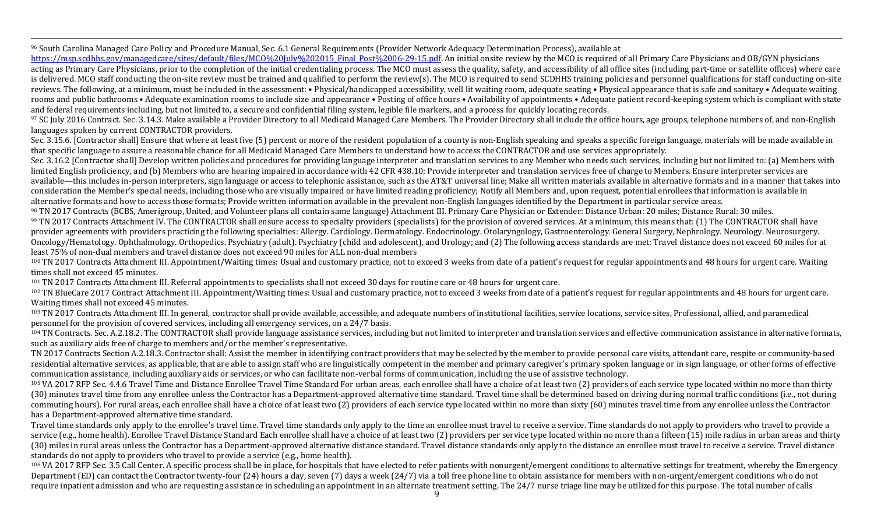,一个人都没有,他们的人都没有,他们的人都没有,他们的人都没有,他们的人都没有,他们的人都没有,他们的人都没有,他们的人都是不是,他们的人都是不是,他们的人都是<br>第251章 我们的人都是不是,他们的人都是不是,他们的人都是不是,他们的人都是不是,他们的人都是不是,他们的人都是不是,他们的人都是不是,他们的人都是不是不是, <sup>96</sup> South Carolina Managed Care Policy and Procedure Manual, Sec. 6.1 General Requirements (Provider Network Adequacy Determination Process), available at

https://msp.scdhhs.gov/managedcare/sites/default/files/MCO%20July%202015\_Final\_Post%2006-29-15.pdf. An initial onsite review by the MCO is required of all Primary Care Physicians and OB/GYN physicians acting as Primary Care Physicians, prior to the completion of the initial credentialing process. The MCO must assess the quality, safety, and accessibility of all office sites (including part-time or satellite offices) whe is delivered. MCO staff conducting the on-site review must be trained and qualified to perform the review(s). The MCO is required to send SCDHHS training policies and personnel qualifications for staff conducting on-site reviews. The following, at a minimum, must be included in the assessment: • Physical/handicapped accessibility, well lit waiting room, adequate seating • Physical appearance that is safe and sanitary • Adequate waiting rooms and public bathrooms • Adequate examination rooms to include size and appearance • Posting of office hours • Availability of appointments • Adequate patient record-keeping system which is compliant with state and federal requirements including, but not limited to, a secure and confidential filing system, legible file markers, and a process for quickly locating records.

97 SC July 2016 Contract. Sec. 3.14.3. Make available a Provider Directory to all Medicaid Managed Care Members. The Provider Directory shall include the office hours, age groups, telephone numbers of, and non-English languages spoken by current CONTRACTOR providers.

Sec. 3.15.6. [Contractor shall] Ensure that where at least five (5) percent or more of the resident population of a county is non-English speaking and speaks a specific foreign language, materials will be made available in that specific language to assure a reasonable chance for all Medicaid Managed Care Members to understand how to access the CONTRACTOR and use services appropriately.

Sec. 3.16.2 [Contractor shall] Develop written policies and procedures for providing language interpreter and translation services to any Member who needs such services, including but not limited to: (a) Members with limited English proficiency, and (b) Members who are hearing impaired in accordance with 42 CFR 438.10; Provide interpreter and translation services free of charge to Members. Ensure interpreter services are available—this includes in-person interpreters, sign language or access to telephonic assistance, such as the AT&T universal line; Make all written materials available in alternative formats and in a manner that takes into consideration the Member's special needs, including those who are visually impaired or have limited reading proficiency; Notify all Members and, upon request, potential enrollees that information is available in alternative formats and how to access those formats; Provide written information available in the prevalent non-English languages identified by the Department in particular service areas.

98 TN 2017 Contracts (BCBS, Amerigroup, United, and Volunteer plans all contain same language) Attachment III. Primary Care Physician or Extender: Distance Urban: 20 miles; Distance Rural: 30 miles.

99 TN 2017 Contracts Attachment IV. The CONTRACTOR shall ensure access to specialty providers (specialists) for the provision of covered services. At a minimum, this means that: (1) The CONTRACTOR shall have provider agreements with providers practicing the following specialties: Allergy. Cardiology. Dermatology. Endocrinology. Otolaryngology, Gastroenterology. General Surgery, Nephrology. Neurosurgery. Oncology/Hematology. Ophthalmology. Orthopedics. Psychiatry (adult). Psychiatry (child and adolescent), and Urology; and (2) The following access standards are met: Travel distance does not exceed 60 miles for at least 75% of non-dual members and travel distance does not exceed 90 miles for ALL non-dual members

100 TN 2017 Contracts Attachment III. Appointment/Waiting times: Usual and customary practice, not to exceed 3 weeks from date of a patient's request for regular appointments and 48 hours for urgent care. Waiting times shall not exceed 45 minutes.

101 TN 2017 Contracts Attachment III. Referral appointments to specialists shall not exceed 30 days for routine care or 48 hours for urgent care.

102 TN BlueCare 2017 Contract Attachment III. Appointment/Waiting times: Usual and customary practice, not to exceed 3 weeks from date of a patient's request for regular appointments and 48 hours for urgent care. Waiting times shall not exceed 45 minutes.

 $103$  TN 2017 Contracts Attachment III. In general, contractor shall provide available, accessible, and adequate numbers of institutional facilities, service locations, service sites, Professional, allied, and paramedical personnel for the provision of covered services, including all emergency services, on a 24/7 basis.

104 TN Contracts. Sec. A.2.18.2. The CONTRACTOR shall provide language assistance services, including but not limited to interpreter and translation services and effective communication assistance in alternative formats, such as auxiliary aids free of charge to members and/or the member's representative.

TN 2017 Contracts Section A.2.18.3. Contractor shall: Assist the member in identifying contract providers that may be selected by the member to provide personal care visits, attendant care, respite or community-based residential alternative services, as applicable, that are able to assign staff who are linguistically competent in the member and primary caregiver's primary spoken language or in sign language, or other forms of effective communication assistance, including auxiliary aids or services, or who can facilitate non-verbal forms of communication, including the use of assistive technology.

<sup>105</sup> VA 2017 RFP Sec. 4.4.6 Travel Time and Distance Enrollee Travel Time Standard For urban areas, each enrollee shall have a choice of at least two (2) providers of each service type located within no more than thirty (30) minutes travel time from any enrollee unless the Contractor has a Department-approved alternative time standard. Travel time shall be determined based on driving during normal traffic conditions (i.e., not during commuting hours). For rural areas, each enrollee shall have a choice of at least two (2) providers of each service type located within no more than sixty (60) minutes travel time from any enrollee unless the Contractor has a Department-approved alternative time standard.

Travel time standards only apply to the enrollee's travel time. Travel time standards only apply to the time an enrollee must travel to receive a service. Time standards do not apply to providers who travel to provide a service (e.g., home health). Enrollee Travel Distance Standard Each enrollee shall have a choice of at least two (2) providers per service type located within no more than a fifteen (15) mile radius in urban areas and thi (30) miles in rural areas unless the Contractor has a Department-approved alternative distance standard. Travel distance standards only apply to the distance an enrollee must travel to receive a service. Travel distance standards do not apply to providers who travel to provide a service (e.g., home health).

106 VA 2017 RFP Sec. 3.5 Call Center. A specific process shall be in place, for hospitals that have elected to refer patients with nonurgent/emergent conditions to alternative settings for treatment, whereby the Emergency Department (ED) can contact the Contractor twenty-four (24) hours a day, seven (7) days a week (24/7) via a toll free phone line to obtain assistance for members with non-urgent/emergent conditions who do not require inpatient admission and who are requesting assistance in scheduling an appointment in an alternate treatment setting. The 24/7 nurse triage line may be utilized for this purpose. The total number of calls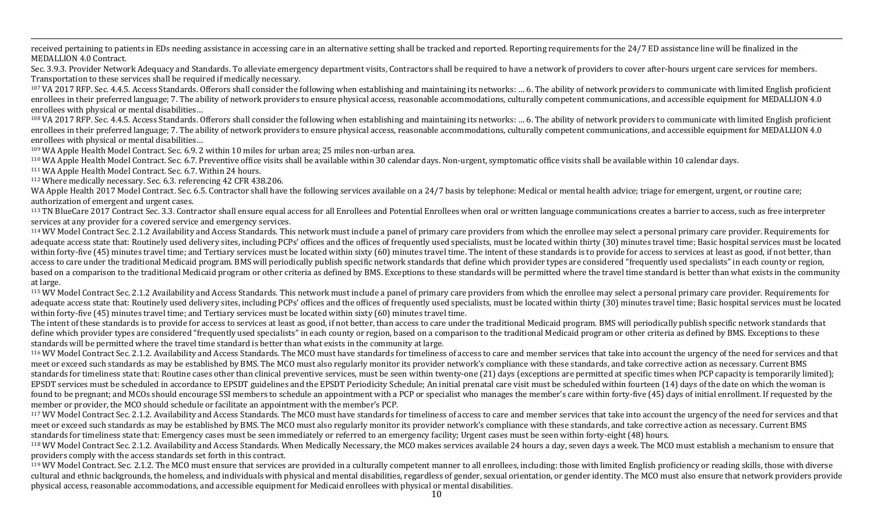,一个人都没有,他们的人都没有,他们的人都没有,他们的人都没有,他们的人都没有,他们的人都没有,他们的人都没有,他们的人都是不是,他们的人都是不是,他们的人都是<br>第251章 我们的人都是不是,他们的人都是不是,他们的人都是不是,他们的人都是不是,他们的人都是不是,他们的人都是不是,他们的人都是不是,他们的人都是不是不是, received pertaining to patients in EDs needing assistance in accessing care in an alternative setting shall be tracked and reported. Reporting requirements for the 24/7 ED assistance line will be finalized in the MEDALLION 4.0 Contract.

Sec. 3.9.3. Provider Network Adequacy and Standards. To alleviate emergency department visits, Contractors shall be required to have a network of providers to cover after-hours urgent care services for members. Transportation to these services shall be required if medically necessary.

<sup>107</sup> VA 2017 RFP. Sec. 4.4.5. Access Standards. Offerors shall consider the following when establishing and maintaining its networks: ... 6. The ability of network providers to communicate with limited English proficient enrollees in their preferred language; 7. The ability of network providers to ensure physical access, reasonable accommodations, culturally competent communications, and accessible equipment for MEDALLION 4.0 enrollees with physical or mental disabilities...

108 VA 2017 RFP. Sec. 4.4.5. Access Standards. Offerors shall consider the following when establishing and maintaining its networks: ... 6. The ability of network providers to communicate with limited English proficient enrollees in their preferred language; 7. The ability of network providers to ensure physical access, reasonable accommodations, culturally competent communications, and accessible equipment for MEDALLION 4.0 enrollees with physical or mental disabilities...

109 WA Apple Health Model Contract. Sec. 6.9. 2 within 10 miles for urban area; 25 miles non-urban area.

<sup>110</sup> WA Apple Health Model Contract. Sec. 6.7. Preventive office visits shall be available within 30 calendar days. Non-urgent, symptomatic office visits shall be available within 10 calendar days.

<sup>111</sup> WA Apple Health Model Contract. Sec. 6.7. Within 24 hours.

 $112$  Where medically necessary. Sec. 6.3. referencing 42 CFR 438.206.

WA Apple Health 2017 Model Contract. Sec. 6.5. Contractor shall have the following services available on a 24/7 basis by telephone: Medical or mental health advice; triage for emergent, urgent, or routine care; authorization of emergent and urgent cases.

<sup>113</sup> TN BlueCare 2017 Contract Sec. 3.3. Contractor shall ensure equal access for all Enrollees and Potential Enrollees when oral or written language communications creates a barrier to access, such as free interpreter services at any provider for a covered service and emergency services.

 $114$  WV Model Contract Sec. 2.1.2 Availability and Access Standards. This network must include a panel of primary care providers from which the enrollee may select a personal primary care provider. Requirements for adequate access state that: Routinely used delivery sites, including PCPs' offices and the offices of frequently used specialists, must be located within thirty (30) minutes travel time; Basic hospital services must be loc within forty-five (45) minutes travel time; and Tertiary services must be located within sixty (60) minutes travel time. The intent of these standards is to provide for access to services at least as good, if not better, t access to care under the traditional Medicaid program. BMS will periodically publish specific network standards that define which provider types are considered "frequently used specialists" in each county or region, based on a comparison to the traditional Medicaid program or other criteria as defined by BMS. Exceptions to these standards will be permitted where the travel time standard is better than what exists in the community at large.

<sup>115</sup> WV Model Contract Sec. 2.1.2 Availability and Access Standards. This network must include a panel of primary care providers from which the enrollee may select a personal primary care provider. Requirements for adequate access state that: Routinely used delivery sites, including PCPs' offices and the offices of frequently used specialists, must be located within thirty (30) minutes travel time; Basic hospital services must be loc within forty-five (45) minutes travel time; and Tertiary services must be located within sixty (60) minutes travel time.

The intent of these standards is to provide for access to services at least as good, if not better, than access to care under the traditional Medicaid program. BMS will periodically publish specific network standards that define which provider types are considered "frequently used specialists" in each county or region, based on a comparison to the traditional Medicaid program or other criteria as defined by BMS. Exceptions to these standards will be permitted where the travel time standard is better than what exists in the community at large.

<sup>116</sup> WV Model Contract Sec. 2.1.2. Availability and Access Standards. The MCO must have standards for timeliness of access to care and member services that take into account the urgency of the need for services and that meet or exceed such standards as may be established by BMS. The MCO must also regularly monitor its provider network's compliance with these standards, and take corrective action as necessary. Current BMS standards for timeliness state that: Routine cases other than clinical preventive services, must be seen within twenty-one (21) days (exceptions are permitted at specific times when PCP capacity is temporarily limited); EPSDT services must be scheduled in accordance to EPSDT guidelines and the EPSDT Periodicity Schedule; An initial prenatal care visit must be scheduled within fourteen (14) days of the date on which the woman is found to be pregnant; and MCOs should encourage SSI members to schedule an appointment with a PCP or specialist who manages the member's care within forty-five (45) days of initial enrollment. If requested by the member or provider, the MCO should schedule or facilitate an appointment with the member's PCP.

<sup>117</sup> WV Model Contract Sec. 2.1.2. Availability and Access Standards. The MCO must have standards for timeliness of access to care and member services that take into account the urgency of the need for services and that meet or exceed such standards as may be established by BMS. The MCO must also regularly monitor its provider network's compliance with these standards, and take corrective action as necessary. Current BMS standards for timeliness state that: Emergency cases must be seen immediately or referred to an emergency facility; Urgent cases must be seen within forty-eight (48) hours.

<sup>118</sup> WV Model Contract Sec. 2.1.2. Availability and Access Standards. When Medically Necessary, the MCO makes services available 24 hours a day, seven days a week. The MCO must establish a mechanism to ensure that providers comply with the access standards set forth in this contract.

<sup>119</sup> WV Model Contract. Sec. 2.1.2. The MCO must ensure that services are provided in a culturally competent manner to all enrollees, including: those with limited English proficiency or reading skills, those with diverse cultural and ethnic backgrounds, the homeless, and individuals with physical and mental disabilities, regardless of gender, sexual orientation, or gender identity. The MCO must also ensure that network providers provide physical access, reasonable accommodations, and accessible equipment for Medicaid enrollees with physical or mental disabilities.